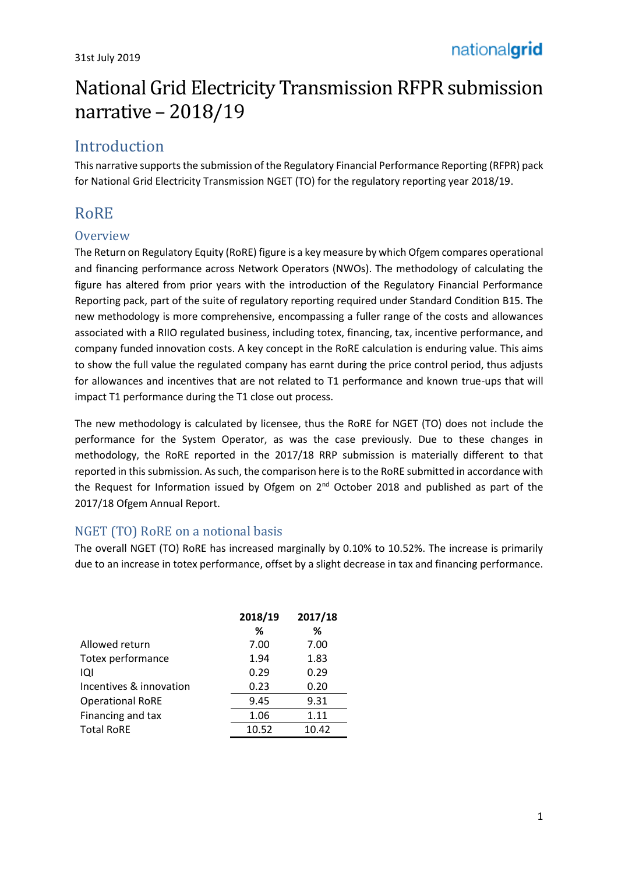# National Grid Electricity Transmission RFPR submission narrative – 2018/19

# Introduction

This narrative supports the submission of the Regulatory Financial Performance Reporting (RFPR) pack for National Grid Electricity Transmission NGET (TO) for the regulatory reporting year 2018/19.

# RoRE

## **Overview**

The Return on Regulatory Equity (RoRE) figure is a key measure by which Ofgem compares operational and financing performance across Network Operators (NWOs). The methodology of calculating the figure has altered from prior years with the introduction of the Regulatory Financial Performance Reporting pack, part of the suite of regulatory reporting required under Standard Condition B15. The new methodology is more comprehensive, encompassing a fuller range of the costs and allowances associated with a RIIO regulated business, including totex, financing, tax, incentive performance, and company funded innovation costs. A key concept in the RoRE calculation is enduring value. This aims to show the full value the regulated company has earnt during the price control period, thus adjusts for allowances and incentives that are not related to T1 performance and known true-ups that will impact T1 performance during the T1 close out process.

The new methodology is calculated by licensee, thus the RoRE for NGET (TO) does not include the performance for the System Operator, as was the case previously. Due to these changes in methodology, the RoRE reported in the 2017/18 RRP submission is materially different to that reported in this submission. As such, the comparison here is to the RoRE submitted in accordance with the Request for Information issued by Ofgem on 2<sup>nd</sup> October 2018 and published as part of the 2017/18 Ofgem Annual Report.

## NGET (TO) RoRE on a notional basis

The overall NGET (TO) RoRE has increased marginally by 0.10% to 10.52%. The increase is primarily due to an increase in totex performance, offset by a slight decrease in tax and financing performance.

|                         | 2018/19 | 2017/18 |
|-------------------------|---------|---------|
|                         | ℅       | ℅       |
| Allowed return          | 7.00    | 7.00    |
| Totex performance       | 1.94    | 1.83    |
| iQi                     | 0.29    | 0.29    |
| Incentives & innovation | 0.23    | 0.20    |
| <b>Operational RoRE</b> | 9.45    | 9.31    |
| Financing and tax       | 1.06    | 1.11    |
| <b>Total RoRE</b>       | 10.52   | 10.42   |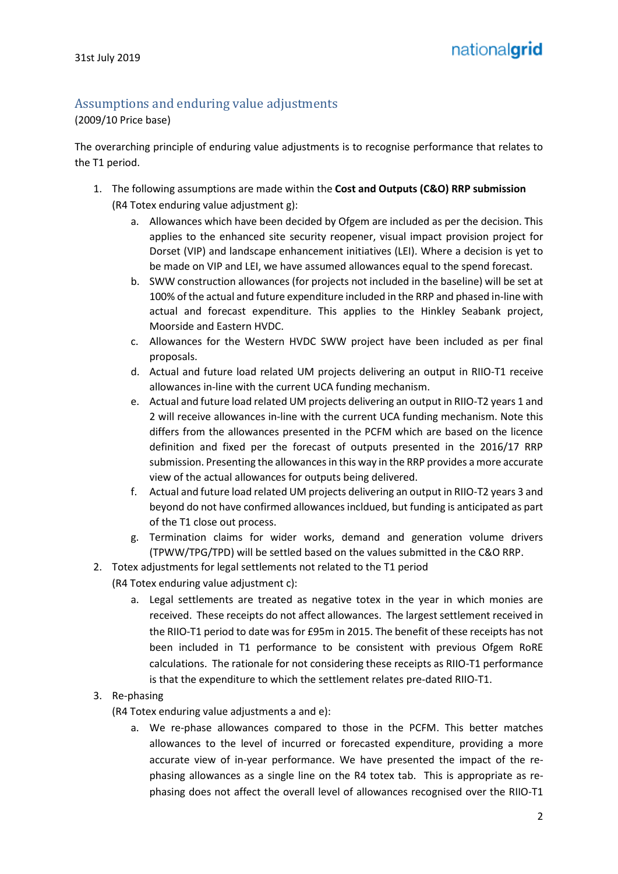## Assumptions and enduring value adjustments

(2009/10 Price base)

The overarching principle of enduring value adjustments is to recognise performance that relates to the T1 period.

- 1. The following assumptions are made within the **Cost and Outputs (C&O) RRP submission** (R4 Totex enduring value adjustment g):
	- a. Allowances which have been decided by Ofgem are included as per the decision. This applies to the enhanced site security reopener, visual impact provision project for Dorset (VIP) and landscape enhancement initiatives (LEI). Where a decision is yet to be made on VIP and LEI, we have assumed allowances equal to the spend forecast.
	- b. SWW construction allowances (for projects not included in the baseline) will be set at 100% of the actual and future expenditure included in the RRP and phased in-line with actual and forecast expenditure. This applies to the Hinkley Seabank project, Moorside and Eastern HVDC.
	- c. Allowances for the Western HVDC SWW project have been included as per final proposals.
	- d. Actual and future load related UM projects delivering an output in RIIO-T1 receive allowances in-line with the current UCA funding mechanism.
	- e. Actual and future load related UM projects delivering an output in RIIO-T2 years 1 and 2 will receive allowances in-line with the current UCA funding mechanism. Note this differs from the allowances presented in the PCFM which are based on the licence definition and fixed per the forecast of outputs presented in the 2016/17 RRP submission. Presenting the allowances in this way in the RRP provides a more accurate view of the actual allowances for outputs being delivered.
	- f. Actual and future load related UM projects delivering an output in RIIO-T2 years 3 and beyond do not have confirmed allowances incldued, but funding is anticipated as part of the T1 close out process.
	- g. Termination claims for wider works, demand and generation volume drivers (TPWW/TPG/TPD) will be settled based on the values submitted in the C&O RRP.
- 2. Totex adjustments for legal settlements not related to the T1 period (R4 Totex enduring value adjustment c):
	- a. Legal settlements are treated as negative totex in the year in which monies are received. These receipts do not affect allowances. The largest settlement received in the RIIO-T1 period to date was for £95m in 2015. The benefit of these receipts has not been included in T1 performance to be consistent with previous Ofgem RoRE calculations. The rationale for not considering these receipts as RIIO-T1 performance is that the expenditure to which the settlement relates pre-dated RIIO-T1.
- 3. Re-phasing

(R4 Totex enduring value adjustments a and e):

a. We re-phase allowances compared to those in the PCFM. This better matches allowances to the level of incurred or forecasted expenditure, providing a more accurate view of in-year performance. We have presented the impact of the rephasing allowances as a single line on the R4 totex tab. This is appropriate as rephasing does not affect the overall level of allowances recognised over the RIIO-T1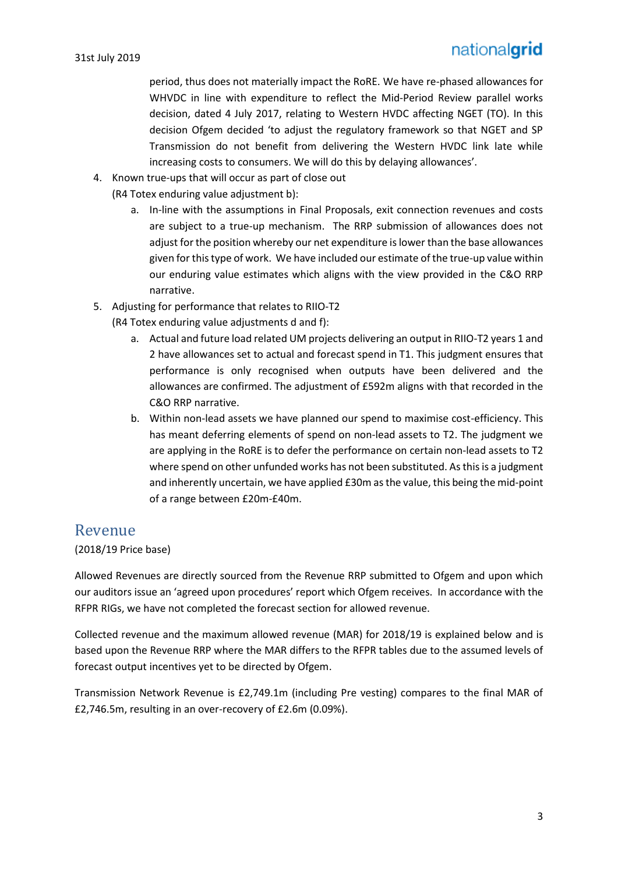period, thus does not materially impact the RoRE. We have re-phased allowances for WHVDC in line with expenditure to reflect the Mid-Period Review parallel works decision, dated 4 July 2017, relating to Western HVDC affecting NGET (TO). In this decision Ofgem decided 'to adjust the regulatory framework so that NGET and SP Transmission do not benefit from delivering the Western HVDC link late while increasing costs to consumers. We will do this by delaying allowances'.

- 4. Known true-ups that will occur as part of close out
	- (R4 Totex enduring value adjustment b):
		- a. In-line with the assumptions in Final Proposals, exit connection revenues and costs are subject to a true-up mechanism. The RRP submission of allowances does not adjust for the position whereby our net expenditure is lower than the base allowances given for this type of work. We have included our estimate of the true-up value within our enduring value estimates which aligns with the view provided in the C&O RRP narrative.
- 5. Adjusting for performance that relates to RIIO-T2
	- (R4 Totex enduring value adjustments d and f):
		- a. Actual and future load related UM projects delivering an output in RIIO-T2 years 1 and 2 have allowances set to actual and forecast spend in T1. This judgment ensures that performance is only recognised when outputs have been delivered and the allowances are confirmed. The adjustment of £592m aligns with that recorded in the C&O RRP narrative.
		- b. Within non-lead assets we have planned our spend to maximise cost-efficiency. This has meant deferring elements of spend on non-lead assets to T2. The judgment we are applying in the RoRE is to defer the performance on certain non-lead assets to T2 where spend on other unfunded works has not been substituted. As this is a judgment and inherently uncertain, we have applied £30m as the value, this being the mid-point of a range between £20m-£40m.

### Revenue

#### (2018/19 Price base)

Allowed Revenues are directly sourced from the Revenue RRP submitted to Ofgem and upon which our auditors issue an 'agreed upon procedures' report which Ofgem receives. In accordance with the RFPR RIGs, we have not completed the forecast section for allowed revenue.

Collected revenue and the maximum allowed revenue (MAR) for 2018/19 is explained below and is based upon the Revenue RRP where the MAR differs to the RFPR tables due to the assumed levels of forecast output incentives yet to be directed by Ofgem.

Transmission Network Revenue is £2,749.1m (including Pre vesting) compares to the final MAR of £2,746.5m, resulting in an over-recovery of £2.6m (0.09%).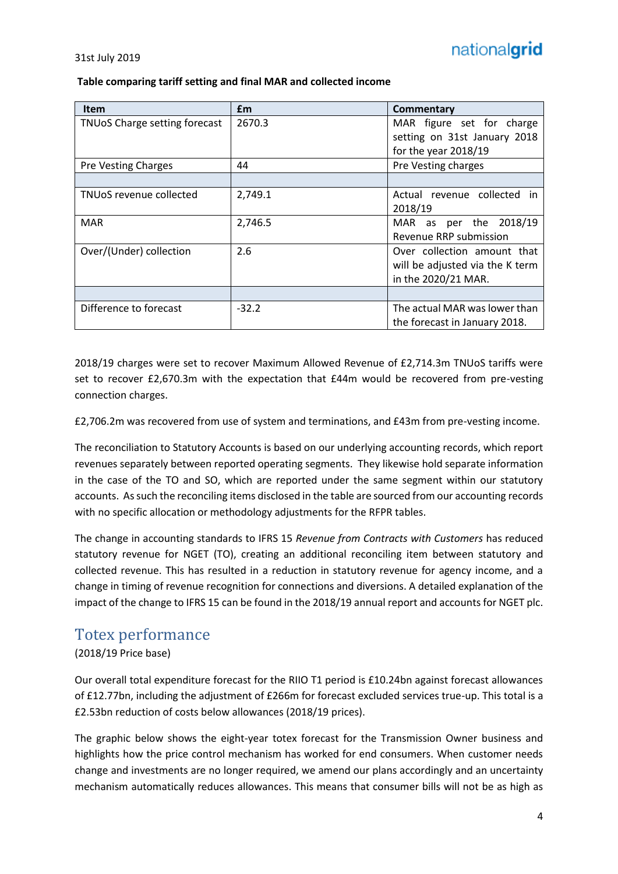#### **Table comparing tariff setting and final MAR and collected income**

| <b>Item</b>                   | <b>f</b> m | <b>Commentary</b>               |  |
|-------------------------------|------------|---------------------------------|--|
| TNUoS Charge setting forecast | 2670.3     | MAR figure set for charge       |  |
|                               |            | setting on 31st January 2018    |  |
|                               |            | for the year 2018/19            |  |
| <b>Pre Vesting Charges</b>    | 44         | Pre Vesting charges             |  |
|                               |            |                                 |  |
| TNUoS revenue collected       | 2,749.1    | Actual revenue collected in     |  |
|                               |            | 2018/19                         |  |
| <b>MAR</b>                    | 2,746.5    | per the 2018/19<br>MAR as       |  |
|                               |            | Revenue RRP submission          |  |
| Over/(Under) collection       | 2.6        | Over collection amount that     |  |
|                               |            | will be adjusted via the K term |  |
|                               |            | in the 2020/21 MAR.             |  |
|                               |            |                                 |  |
| Difference to forecast        | $-32.2$    | The actual MAR was lower than   |  |
|                               |            | the forecast in January 2018.   |  |

2018/19 charges were set to recover Maximum Allowed Revenue of £2,714.3m TNUoS tariffs were set to recover £2,670.3m with the expectation that £44m would be recovered from pre-vesting connection charges.

£2,706.2m was recovered from use of system and terminations, and £43m from pre-vesting income.

The reconciliation to Statutory Accounts is based on our underlying accounting records, which report revenues separately between reported operating segments. They likewise hold separate information in the case of the TO and SO, which are reported under the same segment within our statutory accounts. As such the reconciling items disclosed in the table are sourced from our accounting records with no specific allocation or methodology adjustments for the RFPR tables.

The change in accounting standards to IFRS 15 *Revenue from Contracts with Customers* has reduced statutory revenue for NGET (TO), creating an additional reconciling item between statutory and collected revenue. This has resulted in a reduction in statutory revenue for agency income, and a change in timing of revenue recognition for connections and diversions. A detailed explanation of the impact of the change to IFRS 15 can be found in the 2018/19 annual report and accounts for NGET plc.

## Totex performance

#### (2018/19 Price base)

Our overall total expenditure forecast for the RIIO T1 period is £10.24bn against forecast allowances of £12.77bn, including the adjustment of £266m for forecast excluded services true-up. This total is a £2.53bn reduction of costs below allowances (2018/19 prices).

The graphic below shows the eight-year totex forecast for the Transmission Owner business and highlights how the price control mechanism has worked for end consumers. When customer needs change and investments are no longer required, we amend our plans accordingly and an uncertainty mechanism automatically reduces allowances. This means that consumer bills will not be as high as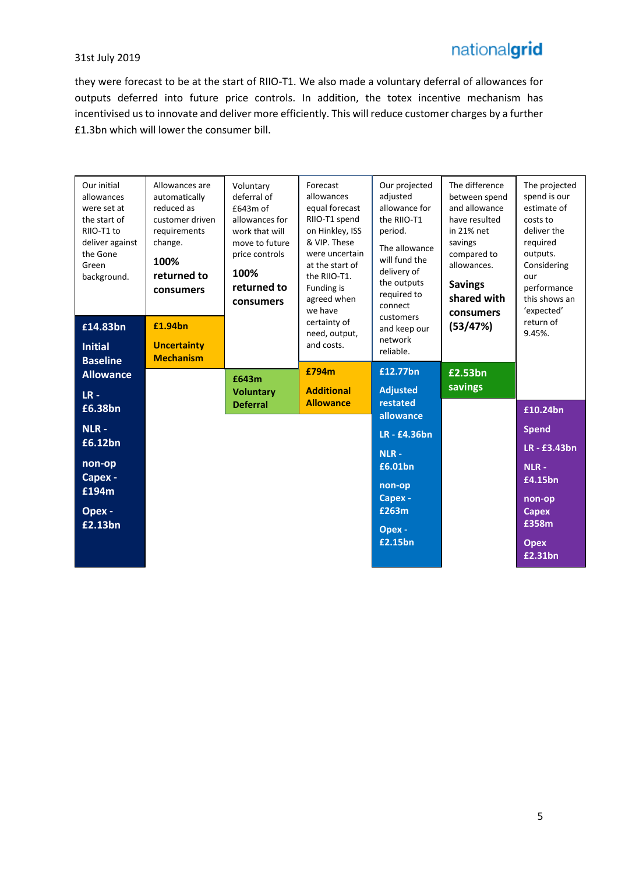# nationalgrid

#### 31st July 2019

they were forecast to be at the start of RIIO-T1. We also made a voluntary deferral of allowances for outputs deferred into future price controls. In addition, the totex incentive mechanism has incentivised us to innovate and deliver more efficiently. This will reduce customer charges by a further £1.3bn which will lower the consumer bill.

| Our initial<br>allowances<br>were set at<br>the start of<br>RIIO-T1 to<br>deliver against<br>the Gone<br>Green<br>background. | Allowances are<br>automatically<br>reduced as<br>customer driven<br>requirements<br>change.<br>100%<br>returned to<br>consumers | Voluntary<br>deferral of<br>£643m of<br>allowances for<br>work that will<br>move to future<br>price controls<br>100%<br>returned to<br>consumers | Forecast<br>allowances<br>equal forecast<br>RIIO-T1 spend<br>on Hinkley, ISS<br>& VIP. These<br>were uncertain<br>at the start of<br>the RIIO-T1.<br>Funding is<br>agreed when<br>we have | Our projected<br>adjusted<br>allowance for<br>the RIIO-T1<br>period.<br>The allowance<br>will fund the<br>delivery of<br>the outputs<br>required to<br>connect<br>customers | The difference<br>between spend<br>and allowance<br>have resulted<br>in 21% net<br>savings<br>compared to<br>allowances.<br><b>Savings</b><br>shared with<br>consumers | The projected<br>spend is our<br>estimate of<br>costs to<br>deliver the<br>required<br>outputs.<br>Considering<br>our<br>performance<br>this shows an<br>'expected' |
|-------------------------------------------------------------------------------------------------------------------------------|---------------------------------------------------------------------------------------------------------------------------------|--------------------------------------------------------------------------------------------------------------------------------------------------|-------------------------------------------------------------------------------------------------------------------------------------------------------------------------------------------|-----------------------------------------------------------------------------------------------------------------------------------------------------------------------------|------------------------------------------------------------------------------------------------------------------------------------------------------------------------|---------------------------------------------------------------------------------------------------------------------------------------------------------------------|
| £14.83bn<br><b>Initial</b><br><b>Baseline</b>                                                                                 | £1.94bn<br><b>Uncertainty</b><br><b>Mechanism</b>                                                                               |                                                                                                                                                  | certainty of<br>need, output,<br>and costs.                                                                                                                                               | and keep our<br>network<br>reliable.                                                                                                                                        | (53/47%)                                                                                                                                                               | return of<br>9.45%.                                                                                                                                                 |
| <b>Allowance</b><br>$LR -$                                                                                                    |                                                                                                                                 | £643m<br><b>Voluntary</b>                                                                                                                        | £794m<br><b>Additional</b>                                                                                                                                                                | £12.77bn<br><b>Adjusted</b>                                                                                                                                                 | £2.53bn<br>savings                                                                                                                                                     |                                                                                                                                                                     |
| £6.38bn                                                                                                                       |                                                                                                                                 | <b>Deferral</b>                                                                                                                                  | <b>Allowance</b>                                                                                                                                                                          | restated<br>allowance                                                                                                                                                       |                                                                                                                                                                        | £10.24bn                                                                                                                                                            |
| NLR-                                                                                                                          |                                                                                                                                 |                                                                                                                                                  |                                                                                                                                                                                           | <b>LR-£4.36bn</b>                                                                                                                                                           |                                                                                                                                                                        | <b>Spend</b>                                                                                                                                                        |
| £6.12bn                                                                                                                       |                                                                                                                                 |                                                                                                                                                  |                                                                                                                                                                                           | NLR-                                                                                                                                                                        |                                                                                                                                                                        | <b>LR-£3.43bn</b>                                                                                                                                                   |
| non-op<br>Capex -                                                                                                             |                                                                                                                                 |                                                                                                                                                  |                                                                                                                                                                                           | £6.01bn                                                                                                                                                                     |                                                                                                                                                                        | $NLR -$<br>£4.15bn                                                                                                                                                  |
| £194m                                                                                                                         |                                                                                                                                 |                                                                                                                                                  |                                                                                                                                                                                           | non-op<br>Capex -                                                                                                                                                           |                                                                                                                                                                        |                                                                                                                                                                     |
| Opex -                                                                                                                        |                                                                                                                                 |                                                                                                                                                  |                                                                                                                                                                                           | £263m                                                                                                                                                                       |                                                                                                                                                                        | non-op<br><b>Capex</b>                                                                                                                                              |
| £2.13bn                                                                                                                       |                                                                                                                                 |                                                                                                                                                  |                                                                                                                                                                                           | Opex -                                                                                                                                                                      |                                                                                                                                                                        | £358m                                                                                                                                                               |
|                                                                                                                               |                                                                                                                                 |                                                                                                                                                  |                                                                                                                                                                                           | £2.15bn                                                                                                                                                                     |                                                                                                                                                                        | <b>Opex</b><br>£2.31bn                                                                                                                                              |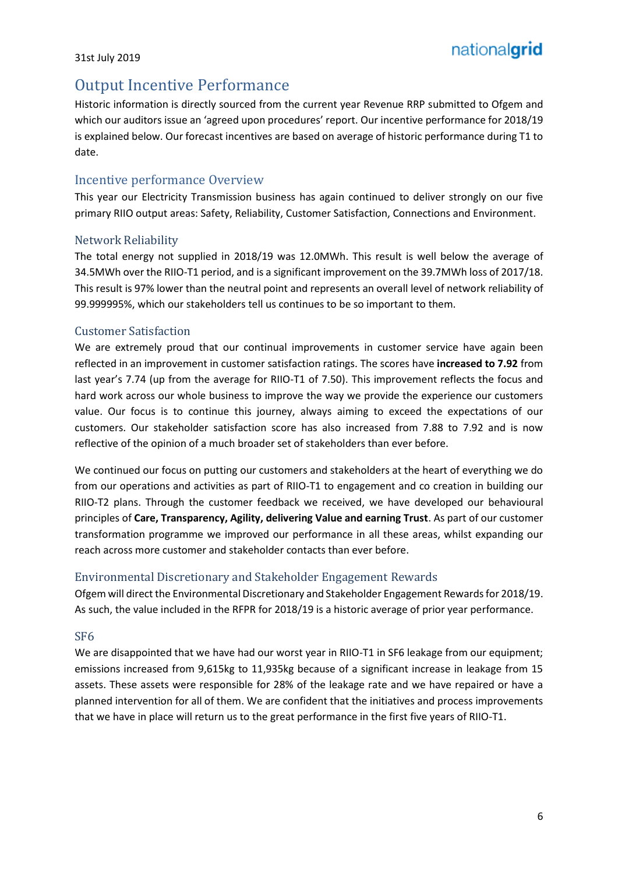## Output Incentive Performance

Historic information is directly sourced from the current year Revenue RRP submitted to Ofgem and which our auditors issue an 'agreed upon procedures' report. Our incentive performance for 2018/19 is explained below. Our forecast incentives are based on average of historic performance during T1 to date.

#### Incentive performance Overview

This year our Electricity Transmission business has again continued to deliver strongly on our five primary RIIO output areas: Safety, Reliability, Customer Satisfaction, Connections and Environment.

#### Network Reliability

The total energy not supplied in 2018/19 was 12.0MWh. This result is well below the average of 34.5MWh over the RIIO-T1 period, and is a significant improvement on the 39.7MWh loss of 2017/18. This result is 97% lower than the neutral point and represents an overall level of network reliability of 99.999995%, which our stakeholders tell us continues to be so important to them.

#### Customer Satisfaction

We are extremely proud that our continual improvements in customer service have again been reflected in an improvement in customer satisfaction ratings. The scores have **increased to 7.92** from last year's 7.74 (up from the average for RIIO-T1 of 7.50). This improvement reflects the focus and hard work across our whole business to improve the way we provide the experience our customers value. Our focus is to continue this journey, always aiming to exceed the expectations of our customers. Our stakeholder satisfaction score has also increased from 7.88 to 7.92 and is now reflective of the opinion of a much broader set of stakeholders than ever before.

We continued our focus on putting our customers and stakeholders at the heart of everything we do from our operations and activities as part of RIIO-T1 to engagement and co creation in building our RIIO-T2 plans. Through the customer feedback we received, we have developed our behavioural principles of **Care, Transparency, Agility, delivering Value and earning Trust**. As part of our customer transformation programme we improved our performance in all these areas, whilst expanding our reach across more customer and stakeholder contacts than ever before.

#### Environmental Discretionary and Stakeholder Engagement Rewards

Ofgem will direct the Environmental Discretionary and Stakeholder Engagement Rewardsfor 2018/19. As such, the value included in the RFPR for 2018/19 is a historic average of prior year performance.

#### SF6

We are disappointed that we have had our worst year in RIIO-T1 in SF6 leakage from our equipment; emissions increased from 9,615kg to 11,935kg because of a significant increase in leakage from 15 assets. These assets were responsible for 28% of the leakage rate and we have repaired or have a planned intervention for all of them. We are confident that the initiatives and process improvements that we have in place will return us to the great performance in the first five years of RIIO-T1.

nationalgrid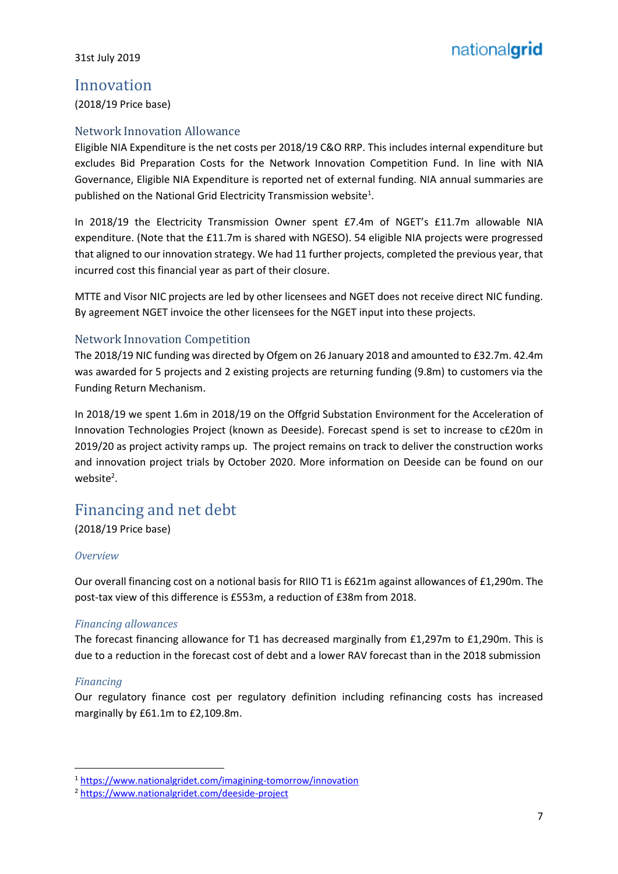## Innovation

(2018/19 Price base)

#### Network Innovation Allowance

Eligible NIA Expenditure is the net costs per 2018/19 C&O RRP. This includes internal expenditure but excludes Bid Preparation Costs for the Network Innovation Competition Fund. In line with NIA Governance, Eligible NIA Expenditure is reported net of external funding. NIA annual summaries are published on the National Grid Electricity Transmission website<sup>1</sup>.

In 2018/19 the Electricity Transmission Owner spent £7.4m of NGET's £11.7m allowable NIA expenditure. (Note that the £11.7m is shared with NGESO). 54 eligible NIA projects were progressed that aligned to our innovation strategy. We had 11 further projects, completed the previous year, that incurred cost this financial year as part of their closure.

MTTE and Visor NIC projects are led by other licensees and NGET does not receive direct NIC funding. By agreement NGET invoice the other licensees for the NGET input into these projects.

#### Network Innovation Competition

The 2018/19 NIC funding was directed by Ofgem on 26 January 2018 and amounted to £32.7m. 42.4m was awarded for 5 projects and 2 existing projects are returning funding (9.8m) to customers via the Funding Return Mechanism.

In 2018/19 we spent 1.6m in 2018/19 on the Offgrid Substation Environment for the Acceleration of Innovation Technologies Project (known as Deeside). Forecast spend is set to increase to c£20m in 2019/20 as project activity ramps up. The project remains on track to deliver the construction works and innovation project trials by October 2020. More information on Deeside can be found on our website<sup>2</sup>.

## Financing and net debt

(2018/19 Price base)

#### *Overview*

Our overall financing cost on a notional basis for RIIO T1 is £621m against allowances of £1,290m. The post-tax view of this difference is £553m, a reduction of £38m from 2018.

#### *Financing allowances*

The forecast financing allowance for T1 has decreased marginally from £1,297m to £1,290m. This is due to a reduction in the forecast cost of debt and a lower RAV forecast than in the 2018 submission

#### *Financing*

 $\overline{a}$ 

Our regulatory finance cost per regulatory definition including refinancing costs has increased marginally by £61.1m to £2,109.8m.

<sup>1</sup> <https://www.nationalgridet.com/imagining-tomorrow/innovation>

<sup>2</sup> <https://www.nationalgridet.com/deeside-project>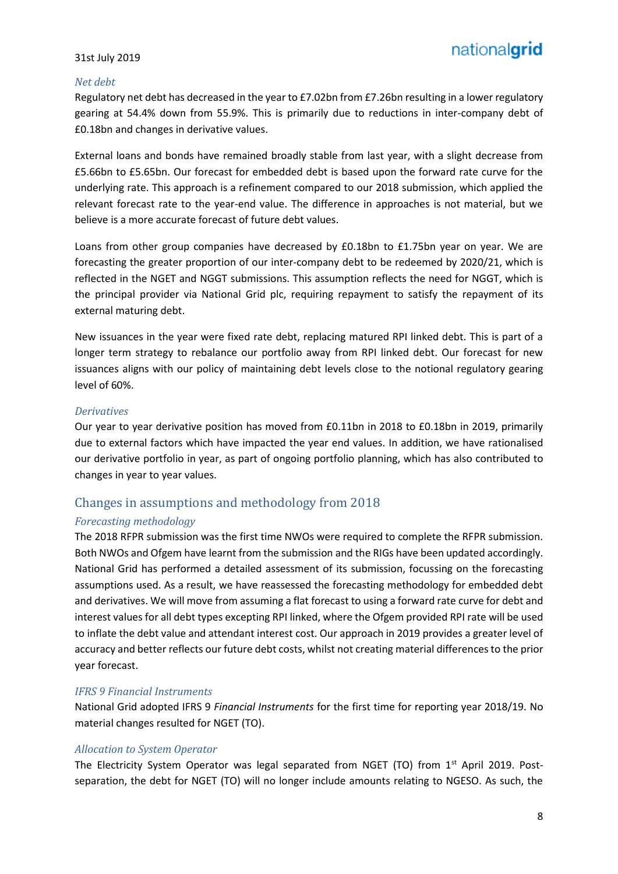#### *Net debt*

Regulatory net debt has decreased in the year to £7.02bn from £7.26bn resulting in a lower regulatory gearing at 54.4% down from 55.9%. This is primarily due to reductions in inter-company debt of £0.18bn and changes in derivative values.

External loans and bonds have remained broadly stable from last year, with a slight decrease from £5.66bn to £5.65bn. Our forecast for embedded debt is based upon the forward rate curve for the underlying rate. This approach is a refinement compared to our 2018 submission, which applied the relevant forecast rate to the year-end value. The difference in approaches is not material, but we believe is a more accurate forecast of future debt values.

Loans from other group companies have decreased by £0.18bn to £1.75bn year on year. We are forecasting the greater proportion of our inter-company debt to be redeemed by 2020/21, which is reflected in the NGET and NGGT submissions. This assumption reflects the need for NGGT, which is the principal provider via National Grid plc, requiring repayment to satisfy the repayment of its external maturing debt.

New issuances in the year were fixed rate debt, replacing matured RPI linked debt. This is part of a longer term strategy to rebalance our portfolio away from RPI linked debt. Our forecast for new issuances aligns with our policy of maintaining debt levels close to the notional regulatory gearing level of 60%.

#### *Derivatives*

Our year to year derivative position has moved from £0.11bn in 2018 to £0.18bn in 2019, primarily due to external factors which have impacted the year end values. In addition, we have rationalised our derivative portfolio in year, as part of ongoing portfolio planning, which has also contributed to changes in year to year values.

#### Changes in assumptions and methodology from 2018

#### *Forecasting methodology*

The 2018 RFPR submission was the first time NWOs were required to complete the RFPR submission. Both NWOs and Ofgem have learnt from the submission and the RIGs have been updated accordingly. National Grid has performed a detailed assessment of its submission, focussing on the forecasting assumptions used. As a result, we have reassessed the forecasting methodology for embedded debt and derivatives. We will move from assuming a flat forecast to using a forward rate curve for debt and interest values for all debt types excepting RPI linked, where the Ofgem provided RPI rate will be used to inflate the debt value and attendant interest cost. Our approach in 2019 provides a greater level of accuracy and better reflects our future debt costs, whilst not creating material differences to the prior year forecast.

#### *IFRS 9 Financial Instruments*

National Grid adopted IFRS 9 *Financial Instruments* for the first time for reporting year 2018/19. No material changes resulted for NGET (TO).

#### *Allocation to System Operator*

The Electricity System Operator was legal separated from NGET (TO) from  $1<sup>st</sup>$  April 2019. Postseparation, the debt for NGET (TO) will no longer include amounts relating to NGESO. As such, the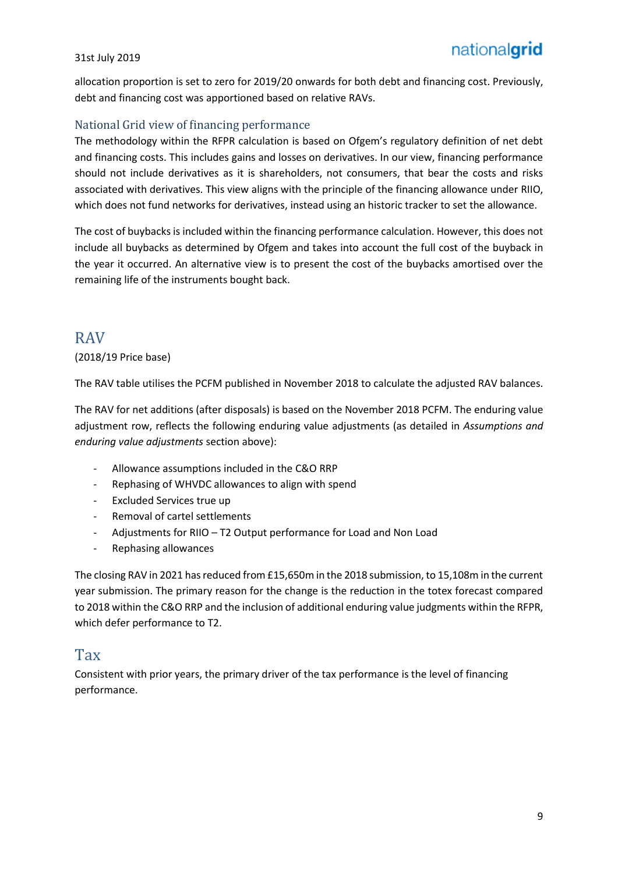allocation proportion is set to zero for 2019/20 onwards for both debt and financing cost. Previously, debt and financing cost was apportioned based on relative RAVs.

#### National Grid view of financing performance

The methodology within the RFPR calculation is based on Ofgem's regulatory definition of net debt and financing costs. This includes gains and losses on derivatives. In our view, financing performance should not include derivatives as it is shareholders, not consumers, that bear the costs and risks associated with derivatives. This view aligns with the principle of the financing allowance under RIIO, which does not fund networks for derivatives, instead using an historic tracker to set the allowance.

The cost of buybacks is included within the financing performance calculation. However, this does not include all buybacks as determined by Ofgem and takes into account the full cost of the buyback in the year it occurred. An alternative view is to present the cost of the buybacks amortised over the remaining life of the instruments bought back.

## RAV

#### (2018/19 Price base)

The RAV table utilises the PCFM published in November 2018 to calculate the adjusted RAV balances.

The RAV for net additions (after disposals) is based on the November 2018 PCFM. The enduring value adjustment row, reflects the following enduring value adjustments (as detailed in *Assumptions and enduring value adjustments* section above):

- Allowance assumptions included in the C&O RRP
- Rephasing of WHVDC allowances to align with spend
- Excluded Services true up
- Removal of cartel settlements
- Adjustments for RIIO T2 Output performance for Load and Non Load
- Rephasing allowances

The closing RAV in 2021 has reduced from £15,650m in the 2018 submission, to 15,108m in the current year submission. The primary reason for the change is the reduction in the totex forecast compared to 2018 within the C&O RRP and the inclusion of additional enduring value judgments within the RFPR, which defer performance to T2.

## **Tax**

Consistent with prior years, the primary driver of the tax performance is the level of financing performance.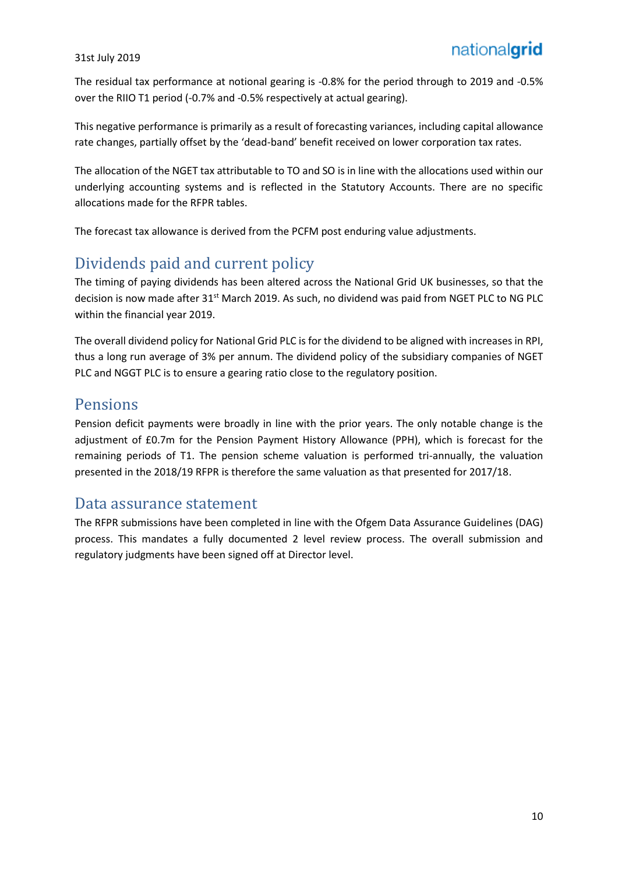The residual tax performance at notional gearing is -0.8% for the period through to 2019 and -0.5% over the RIIO T1 period (-0.7% and -0.5% respectively at actual gearing).

This negative performance is primarily as a result of forecasting variances, including capital allowance rate changes, partially offset by the 'dead-band' benefit received on lower corporation tax rates.

The allocation of the NGET tax attributable to TO and SO is in line with the allocations used within our underlying accounting systems and is reflected in the Statutory Accounts. There are no specific allocations made for the RFPR tables.

The forecast tax allowance is derived from the PCFM post enduring value adjustments.

# Dividends paid and current policy

The timing of paying dividends has been altered across the National Grid UK businesses, so that the decision is now made after 31<sup>st</sup> March 2019. As such, no dividend was paid from NGET PLC to NG PLC within the financial year 2019.

The overall dividend policy for National Grid PLC is for the dividend to be aligned with increases in RPI, thus a long run average of 3% per annum. The dividend policy of the subsidiary companies of NGET PLC and NGGT PLC is to ensure a gearing ratio close to the regulatory position.

## Pensions

Pension deficit payments were broadly in line with the prior years. The only notable change is the adjustment of £0.7m for the Pension Payment History Allowance (PPH), which is forecast for the remaining periods of T1. The pension scheme valuation is performed tri-annually, the valuation presented in the 2018/19 RFPR is therefore the same valuation as that presented for 2017/18.

## Data assurance statement

The RFPR submissions have been completed in line with the Ofgem Data Assurance Guidelines (DAG) process. This mandates a fully documented 2 level review process. The overall submission and regulatory judgments have been signed off at Director level.